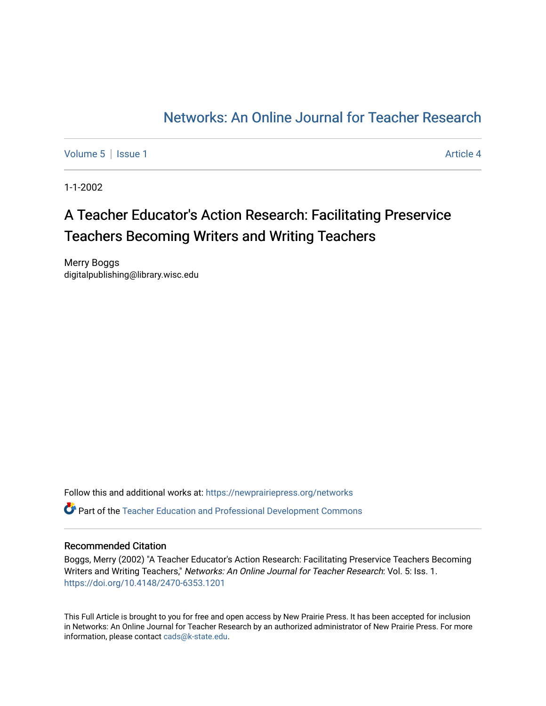## [Networks: An Online Journal for Teacher Research](https://newprairiepress.org/networks)

[Volume 5](https://newprairiepress.org/networks/vol5) | [Issue 1](https://newprairiepress.org/networks/vol5/iss1) Article 4

1-1-2002

## A Teacher Educator's Action Research: Facilitating Preservice Teachers Becoming Writers and Writing Teachers

Merry Boggs digitalpublishing@library.wisc.edu

Follow this and additional works at: [https://newprairiepress.org/networks](https://newprairiepress.org/networks?utm_source=newprairiepress.org%2Fnetworks%2Fvol5%2Fiss1%2F4&utm_medium=PDF&utm_campaign=PDFCoverPages) Part of the [Teacher Education and Professional Development Commons](http://network.bepress.com/hgg/discipline/803?utm_source=newprairiepress.org%2Fnetworks%2Fvol5%2Fiss1%2F4&utm_medium=PDF&utm_campaign=PDFCoverPages) 

#### Recommended Citation

Boggs, Merry (2002) "A Teacher Educator's Action Research: Facilitating Preservice Teachers Becoming Writers and Writing Teachers," Networks: An Online Journal for Teacher Research: Vol. 5: Iss. 1. <https://doi.org/10.4148/2470-6353.1201>

This Full Article is brought to you for free and open access by New Prairie Press. It has been accepted for inclusion in Networks: An Online Journal for Teacher Research by an authorized administrator of New Prairie Press. For more information, please contact [cads@k-state.edu](mailto:cads@k-state.edu).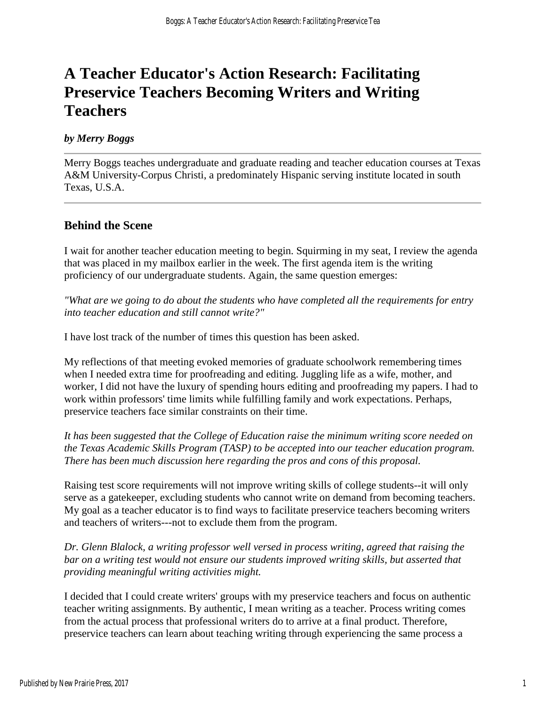# **A Teacher Educator's Action Research: Facilitating Preservice Teachers Becoming Writers and Writing Teachers**

#### *by Merry Boggs*

Merry Boggs teaches undergraduate and graduate reading and teacher education courses at Texas A&M University-Corpus Christi, a predominately Hispanic serving institute located in south Texas, U.S.A.

#### **Behind the Scene**

I wait for another teacher education meeting to begin. Squirming in my seat, I review the agenda that was placed in my mailbox earlier in the week. The first agenda item is the writing proficiency of our undergraduate students. Again, the same question emerges:

*"What are we going to do about the students who have completed all the requirements for entry into teacher education and still cannot write?"*

I have lost track of the number of times this question has been asked.

My reflections of that meeting evoked memories of graduate schoolwork remembering times when I needed extra time for proofreading and editing. Juggling life as a wife, mother, and worker, I did not have the luxury of spending hours editing and proofreading my papers. I had to work within professors' time limits while fulfilling family and work expectations. Perhaps, preservice teachers face similar constraints on their time.

*It has been suggested that the College of Education raise the minimum writing score needed on the Texas Academic Skills Program (TASP) to be accepted into our teacher education program. There has been much discussion here regarding the pros and cons of this proposal.*

Raising test score requirements will not improve writing skills of college students--it will only serve as a gatekeeper, excluding students who cannot write on demand from becoming teachers. My goal as a teacher educator is to find ways to facilitate preservice teachers becoming writers and teachers of writers---not to exclude them from the program.

*Dr. Glenn Blalock, a writing professor well versed in process writing, agreed that raising the bar on a writing test would not ensure our students improved writing skills, but asserted that providing meaningful writing activities might.*

I decided that I could create writers' groups with my preservice teachers and focus on authentic teacher writing assignments. By authentic, I mean writing as a teacher. Process writing comes from the actual process that professional writers do to arrive at a final product. Therefore, preservice teachers can learn about teaching writing through experiencing the same process a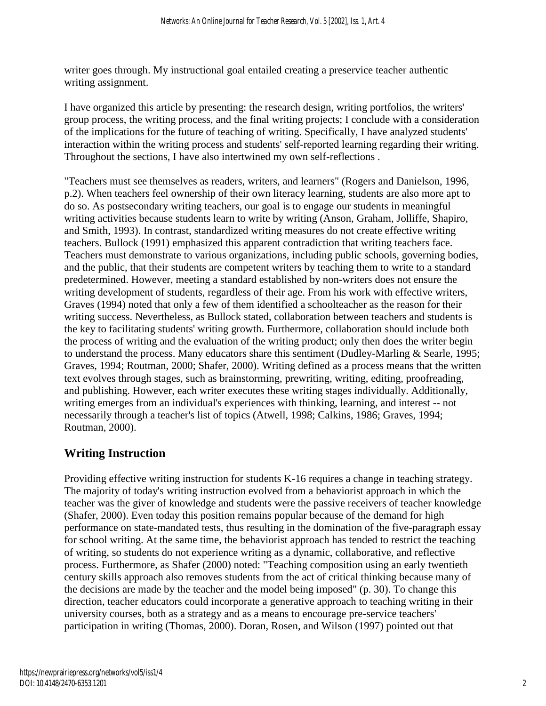writer goes through. My instructional goal entailed creating a preservice teacher authentic writing assignment.

I have organized this article by presenting: the research design, writing portfolios, the writers' group process, the writing process, and the final writing projects; I conclude with a consideration of the implications for the future of teaching of writing. Specifically, I have analyzed students' interaction within the writing process and students' self-reported learning regarding their writing. Throughout the sections, I have also intertwined my own self-reflections .

"Teachers must see themselves as readers, writers, and learners" (Rogers and Danielson, 1996, p.2). When teachers feel ownership of their own literacy learning, students are also more apt to do so. As postsecondary writing teachers, our goal is to engage our students in meaningful writing activities because students learn to write by writing (Anson, Graham, Jolliffe, Shapiro, and Smith, 1993). In contrast, standardized writing measures do not create effective writing teachers. Bullock (1991) emphasized this apparent contradiction that writing teachers face. Teachers must demonstrate to various organizations, including public schools, governing bodies, and the public, that their students are competent writers by teaching them to write to a standard predetermined. However, meeting a standard established by non-writers does not ensure the writing development of students, regardless of their age. From his work with effective writers, Graves (1994) noted that only a few of them identified a schoolteacher as the reason for their writing success. Nevertheless, as Bullock stated, collaboration between teachers and students is the key to facilitating students' writing growth. Furthermore, collaboration should include both the process of writing and the evaluation of the writing product; only then does the writer begin to understand the process. Many educators share this sentiment (Dudley-Marling & Searle, 1995; Graves, 1994; Routman, 2000; Shafer, 2000). Writing defined as a process means that the written text evolves through stages, such as brainstorming, prewriting, writing, editing, proofreading, and publishing. However, each writer executes these writing stages individually. Additionally, writing emerges from an individual's experiences with thinking, learning, and interest -- not necessarily through a teacher's list of topics (Atwell, 1998; Calkins, 1986; Graves, 1994; Routman, 2000).

## **Writing Instruction**

Providing effective writing instruction for students K-16 requires a change in teaching strategy. The majority of today's writing instruction evolved from a behaviorist approach in which the teacher was the giver of knowledge and students were the passive receivers of teacher knowledge (Shafer, 2000). Even today this position remains popular because of the demand for high performance on state-mandated tests, thus resulting in the domination of the five-paragraph essay for school writing. At the same time, the behaviorist approach has tended to restrict the teaching of writing, so students do not experience writing as a dynamic, collaborative, and reflective process. Furthermore, as Shafer (2000) noted: "Teaching composition using an early twentieth century skills approach also removes students from the act of critical thinking because many of the decisions are made by the teacher and the model being imposed" (p. 30). To change this direction, teacher educators could incorporate a generative approach to teaching writing in their university courses, both as a strategy and as a means to encourage pre-service teachers' participation in writing (Thomas, 2000). Doran, Rosen, and Wilson (1997) pointed out that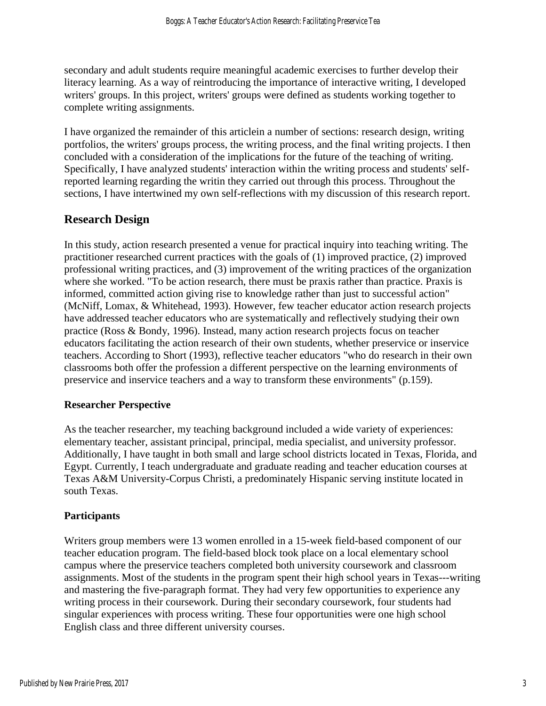secondary and adult students require meaningful academic exercises to further develop their literacy learning. As a way of reintroducing the importance of interactive writing, I developed writers' groups. In this project, writers' groups were defined as students working together to complete writing assignments.

I have organized the remainder of this articlein a number of sections: research design, writing portfolios, the writers' groups process, the writing process, and the final writing projects. I then concluded with a consideration of the implications for the future of the teaching of writing. Specifically, I have analyzed students' interaction within the writing process and students' selfreported learning regarding the writin they carried out through this process. Throughout the sections, I have intertwined my own self-reflections with my discussion of this research report.

## **Research Design**

In this study, action research presented a venue for practical inquiry into teaching writing. The practitioner researched current practices with the goals of (1) improved practice, (2) improved professional writing practices, and (3) improvement of the writing practices of the organization where she worked. "To be action research, there must be praxis rather than practice. Praxis is informed, committed action giving rise to knowledge rather than just to successful action" (McNiff, Lomax, & Whitehead, 1993). However, few teacher educator action research projects have addressed teacher educators who are systematically and reflectively studying their own practice (Ross & Bondy, 1996). Instead, many action research projects focus on teacher educators facilitating the action research of their own students, whether preservice or inservice teachers. According to Short (1993), reflective teacher educators "who do research in their own classrooms both offer the profession a different perspective on the learning environments of preservice and inservice teachers and a way to transform these environments" (p.159).

#### **Researcher Perspective**

As the teacher researcher, my teaching background included a wide variety of experiences: elementary teacher, assistant principal, principal, media specialist, and university professor. Additionally, I have taught in both small and large school districts located in Texas, Florida, and Egypt. Currently, I teach undergraduate and graduate reading and teacher education courses at Texas A&M University-Corpus Christi, a predominately Hispanic serving institute located in south Texas.

#### **Participants**

Writers group members were 13 women enrolled in a 15-week field-based component of our teacher education program. The field-based block took place on a local elementary school campus where the preservice teachers completed both university coursework and classroom assignments. Most of the students in the program spent their high school years in Texas---writing and mastering the five-paragraph format. They had very few opportunities to experience any writing process in their coursework. During their secondary coursework, four students had singular experiences with process writing. These four opportunities were one high school English class and three different university courses.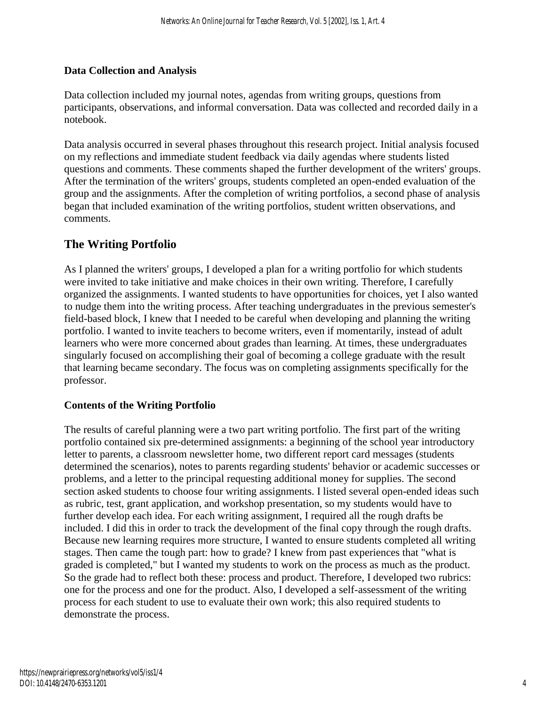### **Data Collection and Analysis**

Data collection included my journal notes, agendas from writing groups, questions from participants, observations, and informal conversation. Data was collected and recorded daily in a notebook.

Data analysis occurred in several phases throughout this research project. Initial analysis focused on my reflections and immediate student feedback via daily agendas where students listed questions and comments. These comments shaped the further development of the writers' groups. After the termination of the writers' groups, students completed an open-ended evaluation of the group and the assignments. After the completion of writing portfolios, a second phase of analysis began that included examination of the writing portfolios, student written observations, and comments.

## **The Writing Portfolio**

As I planned the writers' groups, I developed a plan for a writing portfolio for which students were invited to take initiative and make choices in their own writing. Therefore, I carefully organized the assignments. I wanted students to have opportunities for choices, yet I also wanted to nudge them into the writing process. After teaching undergraduates in the previous semester's field-based block, I knew that I needed to be careful when developing and planning the writing portfolio. I wanted to invite teachers to become writers, even if momentarily, instead of adult learners who were more concerned about grades than learning. At times, these undergraduates singularly focused on accomplishing their goal of becoming a college graduate with the result that learning became secondary. The focus was on completing assignments specifically for the professor.

### **Contents of the Writing Portfolio**

The results of careful planning were a two part writing portfolio. The first part of the writing portfolio contained six pre-determined assignments: a beginning of the school year introductory letter to parents, a classroom newsletter home, two different report card messages (students determined the scenarios), notes to parents regarding students' behavior or academic successes or problems, and a letter to the principal requesting additional money for supplies. The second section asked students to choose four writing assignments. I listed several open-ended ideas such as rubric, test, grant application, and workshop presentation, so my students would have to further develop each idea. For each writing assignment, I required all the rough drafts be included. I did this in order to track the development of the final copy through the rough drafts. Because new learning requires more structure, I wanted to ensure students completed all writing stages. Then came the tough part: how to grade? I knew from past experiences that "what is graded is completed," but I wanted my students to work on the process as much as the product. So the grade had to reflect both these: process and product. Therefore, I developed two rubrics: one for the process and one for the product. Also, I developed a self-assessment of the writing process for each student to use to evaluate their own work; this also required students to demonstrate the process.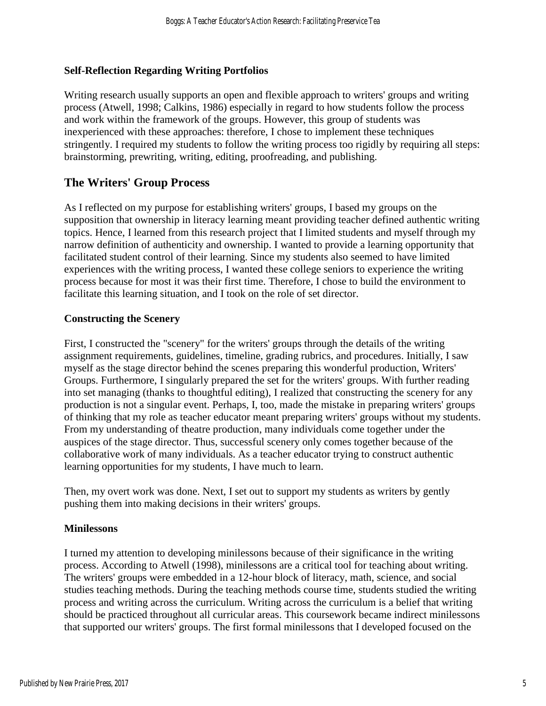#### **Self-Reflection Regarding Writing Portfolios**

Writing research usually supports an open and flexible approach to writers' groups and writing process (Atwell, 1998; Calkins, 1986) especially in regard to how students follow the process and work within the framework of the groups. However, this group of students was inexperienced with these approaches: therefore, I chose to implement these techniques stringently. I required my students to follow the writing process too rigidly by requiring all steps: brainstorming, prewriting, writing, editing, proofreading, and publishing.

## **The Writers' Group Process**

As I reflected on my purpose for establishing writers' groups, I based my groups on the supposition that ownership in literacy learning meant providing teacher defined authentic writing topics. Hence, I learned from this research project that I limited students and myself through my narrow definition of authenticity and ownership. I wanted to provide a learning opportunity that facilitated student control of their learning. Since my students also seemed to have limited experiences with the writing process, I wanted these college seniors to experience the writing process because for most it was their first time. Therefore, I chose to build the environment to facilitate this learning situation, and I took on the role of set director.

#### **Constructing the Scenery**

First, I constructed the "scenery" for the writers' groups through the details of the writing assignment requirements, guidelines, timeline, grading rubrics, and procedures. Initially, I saw myself as the stage director behind the scenes preparing this wonderful production, Writers' Groups. Furthermore, I singularly prepared the set for the writers' groups. With further reading into set managing (thanks to thoughtful editing), I realized that constructing the scenery for any production is not a singular event. Perhaps, I, too, made the mistake in preparing writers' groups of thinking that my role as teacher educator meant preparing writers' groups without my students. From my understanding of theatre production, many individuals come together under the auspices of the stage director. Thus, successful scenery only comes together because of the collaborative work of many individuals. As a teacher educator trying to construct authentic learning opportunities for my students, I have much to learn.

Then, my overt work was done. Next, I set out to support my students as writers by gently pushing them into making decisions in their writers' groups.

#### **Minilessons**

I turned my attention to developing minilessons because of their significance in the writing process. According to Atwell (1998), minilessons are a critical tool for teaching about writing. The writers' groups were embedded in a 12-hour block of literacy, math, science, and social studies teaching methods. During the teaching methods course time, students studied the writing process and writing across the curriculum. Writing across the curriculum is a belief that writing should be practiced throughout all curricular areas. This coursework became indirect minilessons that supported our writers' groups. The first formal minilessons that I developed focused on the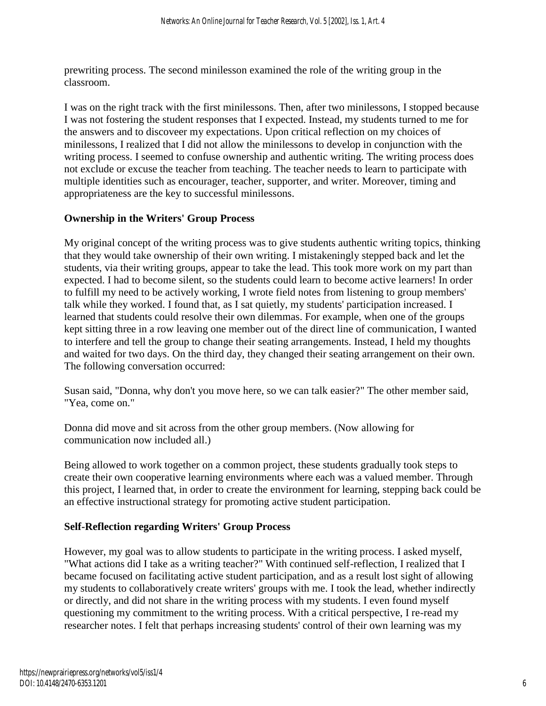prewriting process. The second minilesson examined the role of the writing group in the classroom.

I was on the right track with the first minilessons. Then, after two minilessons, I stopped because I was not fostering the student responses that I expected. Instead, my students turned to me for the answers and to discoveer my expectations. Upon critical reflection on my choices of minilessons, I realized that I did not allow the minilessons to develop in conjunction with the writing process. I seemed to confuse ownership and authentic writing. The writing process does not exclude or excuse the teacher from teaching. The teacher needs to learn to participate with multiple identities such as encourager, teacher, supporter, and writer. Moreover, timing and appropriateness are the key to successful minilessons.

#### **Ownership in the Writers' Group Process**

My original concept of the writing process was to give students authentic writing topics, thinking that they would take ownership of their own writing. I mistakeningly stepped back and let the students, via their writing groups, appear to take the lead. This took more work on my part than expected. I had to become silent, so the students could learn to become active learners! In order to fulfill my need to be actively working, I wrote field notes from listening to group members' talk while they worked. I found that, as I sat quietly, my students' participation increased. I learned that students could resolve their own dilemmas. For example, when one of the groups kept sitting three in a row leaving one member out of the direct line of communication, I wanted to interfere and tell the group to change their seating arrangements. Instead, I held my thoughts and waited for two days. On the third day, they changed their seating arrangement on their own. The following conversation occurred:

Susan said, "Donna, why don't you move here, so we can talk easier?" The other member said, "Yea, come on."

Donna did move and sit across from the other group members. (Now allowing for communication now included all.)

Being allowed to work together on a common project, these students gradually took steps to create their own cooperative learning environments where each was a valued member. Through this project, I learned that, in order to create the environment for learning, stepping back could be an effective instructional strategy for promoting active student participation.

#### **Self-Reflection regarding Writers' Group Process**

However, my goal was to allow students to participate in the writing process. I asked myself, "What actions did I take as a writing teacher?" With continued self-reflection, I realized that I became focused on facilitating active student participation, and as a result lost sight of allowing my students to collaboratively create writers' groups with me. I took the lead, whether indirectly or directly, and did not share in the writing process with my students. I even found myself questioning my commitment to the writing process. With a critical perspective, I re-read my researcher notes. I felt that perhaps increasing students' control of their own learning was my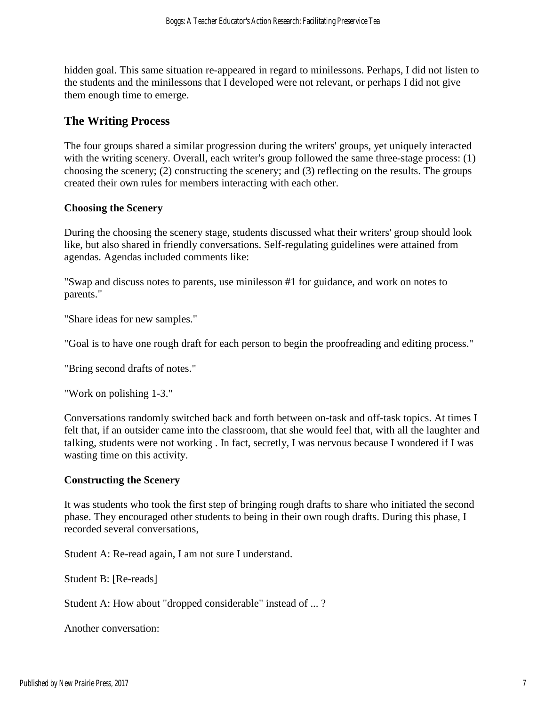hidden goal. This same situation re-appeared in regard to minilessons. Perhaps, I did not listen to the students and the minilessons that I developed were not relevant, or perhaps I did not give them enough time to emerge.

## **The Writing Process**

The four groups shared a similar progression during the writers' groups, yet uniquely interacted with the writing scenery. Overall, each writer's group followed the same three-stage process: (1) choosing the scenery; (2) constructing the scenery; and (3) reflecting on the results. The groups created their own rules for members interacting with each other.

#### **Choosing the Scenery**

During the choosing the scenery stage, students discussed what their writers' group should look like, but also shared in friendly conversations. Self-regulating guidelines were attained from agendas. Agendas included comments like:

"Swap and discuss notes to parents, use minilesson #1 for guidance, and work on notes to parents."

"Share ideas for new samples."

"Goal is to have one rough draft for each person to begin the proofreading and editing process."

"Bring second drafts of notes."

"Work on polishing 1-3."

Conversations randomly switched back and forth between on-task and off-task topics. At times I felt that, if an outsider came into the classroom, that she would feel that, with all the laughter and talking, students were not working . In fact, secretly, I was nervous because I wondered if I was wasting time on this activity.

#### **Constructing the Scenery**

It was students who took the first step of bringing rough drafts to share who initiated the second phase. They encouraged other students to being in their own rough drafts. During this phase, I recorded several conversations,

Student A: Re-read again, I am not sure I understand.

Student B: [Re-reads]

Student A: How about "dropped considerable" instead of ... ?

Another conversation: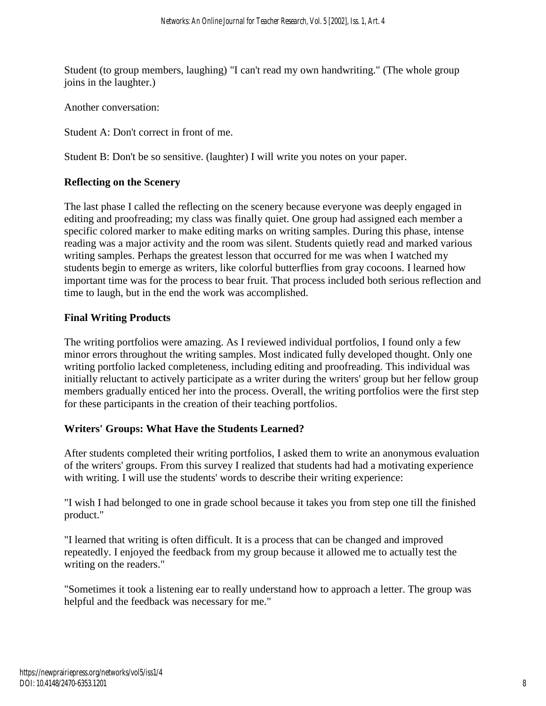Student (to group members, laughing) "I can't read my own handwriting." (The whole group joins in the laughter.)

Another conversation:

Student A: Don't correct in front of me.

Student B: Don't be so sensitive. (laughter) I will write you notes on your paper.

#### **Reflecting on the Scenery**

The last phase I called the reflecting on the scenery because everyone was deeply engaged in editing and proofreading; my class was finally quiet. One group had assigned each member a specific colored marker to make editing marks on writing samples. During this phase, intense reading was a major activity and the room was silent. Students quietly read and marked various writing samples. Perhaps the greatest lesson that occurred for me was when I watched my students begin to emerge as writers, like colorful butterflies from gray cocoons. I learned how important time was for the process to bear fruit. That process included both serious reflection and time to laugh, but in the end the work was accomplished.

#### **Final Writing Products**

The writing portfolios were amazing. As I reviewed individual portfolios, I found only a few minor errors throughout the writing samples. Most indicated fully developed thought. Only one writing portfolio lacked completeness, including editing and proofreading. This individual was initially reluctant to actively participate as a writer during the writers' group but her fellow group members gradually enticed her into the process. Overall, the writing portfolios were the first step for these participants in the creation of their teaching portfolios.

#### **Writers' Groups: What Have the Students Learned?**

After students completed their writing portfolios, I asked them to write an anonymous evaluation of the writers' groups. From this survey I realized that students had had a motivating experience with writing. I will use the students' words to describe their writing experience:

"I wish I had belonged to one in grade school because it takes you from step one till the finished product."

"I learned that writing is often difficult. It is a process that can be changed and improved repeatedly. I enjoyed the feedback from my group because it allowed me to actually test the writing on the readers."

"Sometimes it took a listening ear to really understand how to approach a letter. The group was helpful and the feedback was necessary for me."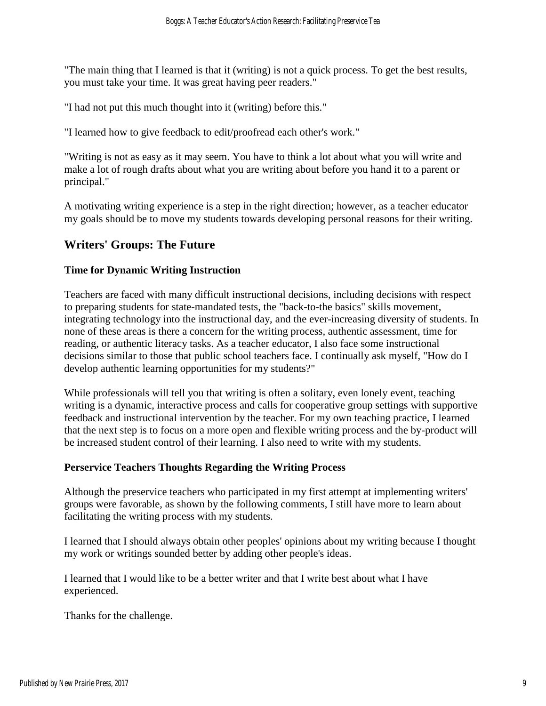"The main thing that I learned is that it (writing) is not a quick process. To get the best results, you must take your time. It was great having peer readers."

"I had not put this much thought into it (writing) before this."

"I learned how to give feedback to edit/proofread each other's work."

"Writing is not as easy as it may seem. You have to think a lot about what you will write and make a lot of rough drafts about what you are writing about before you hand it to a parent or principal."

A motivating writing experience is a step in the right direction; however, as a teacher educator my goals should be to move my students towards developing personal reasons for their writing.

## **Writers' Groups: The Future**

#### **Time for Dynamic Writing Instruction**

Teachers are faced with many difficult instructional decisions, including decisions with respect to preparing students for state-mandated tests, the "back-to-the basics" skills movement, integrating technology into the instructional day, and the ever-increasing diversity of students. In none of these areas is there a concern for the writing process, authentic assessment, time for reading, or authentic literacy tasks. As a teacher educator, I also face some instructional decisions similar to those that public school teachers face. I continually ask myself, "How do I develop authentic learning opportunities for my students?"

While professionals will tell you that writing is often a solitary, even lonely event, teaching writing is a dynamic, interactive process and calls for cooperative group settings with supportive feedback and instructional intervention by the teacher. For my own teaching practice, I learned that the next step is to focus on a more open and flexible writing process and the by-product will be increased student control of their learning. I also need to write with my students.

#### **Perservice Teachers Thoughts Regarding the Writing Process**

Although the preservice teachers who participated in my first attempt at implementing writers' groups were favorable, as shown by the following comments, I still have more to learn about facilitating the writing process with my students.

I learned that I should always obtain other peoples' opinions about my writing because I thought my work or writings sounded better by adding other people's ideas.

I learned that I would like to be a better writer and that I write best about what I have experienced.

Thanks for the challenge.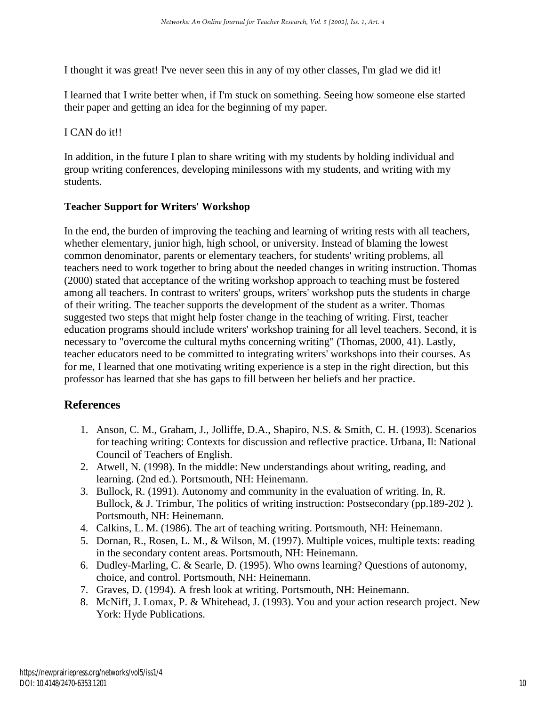I thought it was great! I've never seen this in any of my other classes, I'm glad we did it!

I learned that I write better when, if I'm stuck on something. Seeing how someone else started their paper and getting an idea for the beginning of my paper.

#### I CAN do it!!

In addition, in the future I plan to share writing with my students by holding individual and group writing conferences, developing minilessons with my students, and writing with my students.

#### **Teacher Support for Writers' Workshop**

In the end, the burden of improving the teaching and learning of writing rests with all teachers, whether elementary, junior high, high school, or university. Instead of blaming the lowest common denominator, parents or elementary teachers, for students' writing problems, all teachers need to work together to bring about the needed changes in writing instruction. Thomas (2000) stated that acceptance of the writing workshop approach to teaching must be fostered among all teachers. In contrast to writers' groups, writers' workshop puts the students in charge of their writing. The teacher supports the development of the student as a writer. Thomas suggested two steps that might help foster change in the teaching of writing. First, teacher education programs should include writers' workshop training for all level teachers. Second, it is necessary to "overcome the cultural myths concerning writing" (Thomas, 2000, 41). Lastly, teacher educators need to be committed to integrating writers' workshops into their courses. As for me, I learned that one motivating writing experience is a step in the right direction, but this professor has learned that she has gaps to fill between her beliefs and her practice.

## **References**

- 1. Anson, C. M., Graham, J., Jolliffe, D.A., Shapiro, N.S. & Smith, C. H. (1993). Scenarios for teaching writing: Contexts for discussion and reflective practice. Urbana, Il: National Council of Teachers of English.
- 2. Atwell, N. (1998). In the middle: New understandings about writing, reading, and learning. (2nd ed.). Portsmouth, NH: Heinemann.
- 3. Bullock, R. (1991). Autonomy and community in the evaluation of writing. In, R. Bullock, & J. Trimbur, The politics of writing instruction: Postsecondary (pp.189-202 ). Portsmouth, NH: Heinemann.
- 4. Calkins, L. M. (1986). The art of teaching writing. Portsmouth, NH: Heinemann.
- 5. Dornan, R., Rosen, L. M., & Wilson, M. (1997). Multiple voices, multiple texts: reading in the secondary content areas. Portsmouth, NH: Heinemann.
- 6. Dudley-Marling, C. & Searle, D. (1995). Who owns learning? Questions of autonomy, choice, and control. Portsmouth, NH: Heinemann.
- 7. Graves, D. (1994). A fresh look at writing. Portsmouth, NH: Heinemann.
- 8. McNiff, J. Lomax, P. & Whitehead, J. (1993). You and your action research project. New York: Hyde Publications.